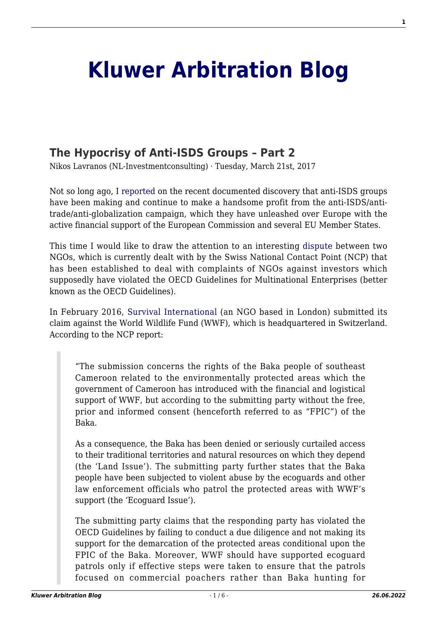# **[Kluwer Arbitration Blog](http://arbitrationblog.kluwerarbitration.com/)**

# **[The Hypocrisy of Anti-ISDS Groups – Part 2](http://arbitrationblog.kluwerarbitration.com/2017/03/21/the-hypocrisy-of-anti-isds-groups-part-2/)**

Nikos Lavranos (NL-Investmentconsulting) · Tuesday, March 21st, 2017

Not so long ago, I [reported](http://kluwerarbitrationblog.com/2016/10/11/profiting-anti-isds-propaganda/) on the recent documented discovery that anti-ISDS groups have been making and continue to make a handsome profit from the anti-ISDS/antitrade/anti-globalization campaign, which they have unleashed over Europe with the active financial support of the European Commission and several EU Member States.

This time I would like to draw the attention to an interesting [dispute](https://www.seco.admin.ch/seco/en/home/Aussenwirtschaftspolitik_Wirtschaftliche_Zusammenarbeit/Wirtschaftsbeziehungen/NKP/Statements_zu_konkreten_Faellen.html) between two NGOs, which is currently dealt with by the Swiss National Contact Point (NCP) that has been established to deal with complaints of NGOs against investors which supposedly have violated the OECD Guidelines for Multinational Enterprises (better known as the OECD Guidelines).

In February 2016, [Survival International](http://www.survivalinternational.org/news/11538) (an NGO based in London) submitted its claim against the World Wildlife Fund (WWF), which is headquartered in Switzerland. According to the NCP report:

"The submission concerns the rights of the Baka people of southeast Cameroon related to the environmentally protected areas which the government of Cameroon has introduced with the financial and logistical support of WWF, but according to the submitting party without the free, prior and informed consent (henceforth referred to as "FPIC") of the Baka.

As a consequence, the Baka has been denied or seriously curtailed access to their traditional territories and natural resources on which they depend (the 'Land Issue'). The submitting party further states that the Baka people have been subjected to violent abuse by the ecoguards and other law enforcement officials who patrol the protected areas with WWF's support (the 'Ecoguard Issue').

The submitting party claims that the responding party has violated the OECD Guidelines by failing to conduct a due diligence and not making its support for the demarcation of the protected areas conditional upon the FPIC of the Baka. Moreover, WWF should have supported ecoguard patrols only if effective steps were taken to ensure that the patrols focused on commercial poachers rather than Baka hunting for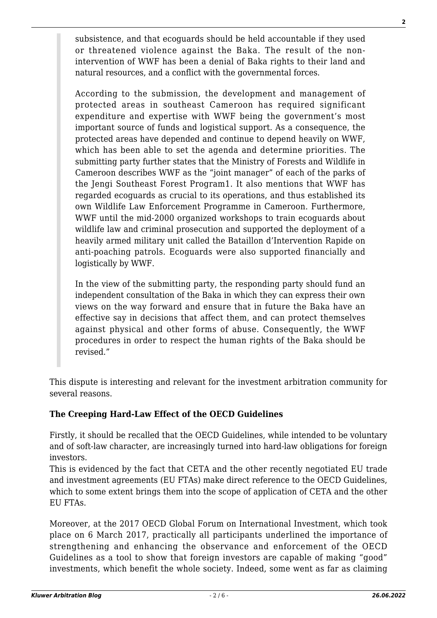subsistence, and that ecoguards should be held accountable if they used or threatened violence against the Baka. The result of the nonintervention of WWF has been a denial of Baka rights to their land and natural resources, and a conflict with the governmental forces.

According to the submission, the development and management of protected areas in southeast Cameroon has required significant expenditure and expertise with WWF being the government's most important source of funds and logistical support. As a consequence, the protected areas have depended and continue to depend heavily on WWF, which has been able to set the agenda and determine priorities. The submitting party further states that the Ministry of Forests and Wildlife in Cameroon describes WWF as the "joint manager" of each of the parks of the Jengi Southeast Forest Program1. It also mentions that WWF has regarded ecoguards as crucial to its operations, and thus established its own Wildlife Law Enforcement Programme in Cameroon. Furthermore, WWF until the mid-2000 organized workshops to train ecoguards about wildlife law and criminal prosecution and supported the deployment of a heavily armed military unit called the Bataillon d'Intervention Rapide on anti-poaching patrols. Ecoguards were also supported financially and logistically by WWF.

In the view of the submitting party, the responding party should fund an independent consultation of the Baka in which they can express their own views on the way forward and ensure that in future the Baka have an effective say in decisions that affect them, and can protect themselves against physical and other forms of abuse. Consequently, the WWF procedures in order to respect the human rights of the Baka should be revised."

This dispute is interesting and relevant for the investment arbitration community for several reasons.

# **The Creeping Hard-Law Effect of the OECD Guidelines**

Firstly, it should be recalled that the OECD Guidelines, while intended to be voluntary and of soft-law character, are increasingly turned into hard-law obligations for foreign investors.

This is evidenced by the fact that CETA and the other recently negotiated EU trade and investment agreements (EU FTAs) make direct reference to the OECD Guidelines, which to some extent brings them into the scope of application of CETA and the other EU FTAs.

Moreover, at the 2017 OECD Global Forum on International Investment, which took place on 6 March 2017, practically all participants underlined the importance of strengthening and enhancing the observance and enforcement of the OECD Guidelines as a tool to show that foreign investors are capable of making "good" investments, which benefit the whole society. Indeed, some went as far as claiming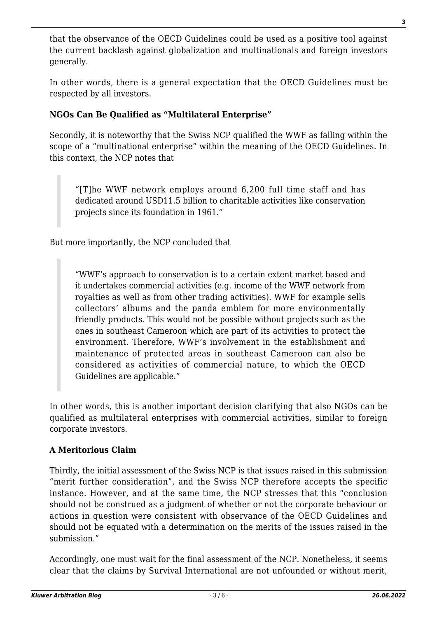that the observance of the OECD Guidelines could be used as a positive tool against the current backlash against globalization and multinationals and foreign investors generally.

In other words, there is a general expectation that the OECD Guidelines must be respected by all investors.

# **NGOs Can Be Qualified as "Multilateral Enterprise"**

Secondly, it is noteworthy that the Swiss NCP qualified the WWF as falling within the scope of a "multinational enterprise" within the meaning of the OECD Guidelines. In this context, the NCP notes that

"[T]he WWF network employs around 6,200 full time staff and has dedicated around USD11.5 billion to charitable activities like conservation projects since its foundation in 1961."

But more importantly, the NCP concluded that

"WWF's approach to conservation is to a certain extent market based and it undertakes commercial activities (e.g. income of the WWF network from royalties as well as from other trading activities). WWF for example sells collectors' albums and the panda emblem for more environmentally friendly products. This would not be possible without projects such as the ones in southeast Cameroon which are part of its activities to protect the environment. Therefore, WWF's involvement in the establishment and maintenance of protected areas in southeast Cameroon can also be considered as activities of commercial nature, to which the OECD Guidelines are applicable."

In other words, this is another important decision clarifying that also NGOs can be qualified as multilateral enterprises with commercial activities, similar to foreign corporate investors.

#### **A Meritorious Claim**

Thirdly, the initial assessment of the Swiss NCP is that issues raised in this submission "merit further consideration", and the Swiss NCP therefore accepts the specific instance. However, and at the same time, the NCP stresses that this "conclusion should not be construed as a judgment of whether or not the corporate behaviour or actions in question were consistent with observance of the OECD Guidelines and should not be equated with a determination on the merits of the issues raised in the submission."

Accordingly, one must wait for the final assessment of the NCP. Nonetheless, it seems clear that the claims by Survival International are not unfounded or without merit,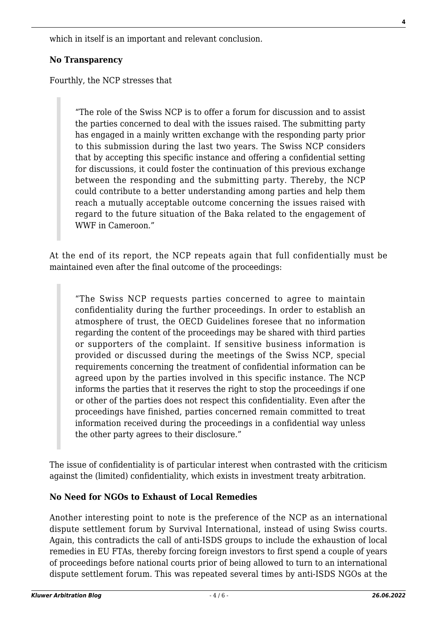which in itself is an important and relevant conclusion.

#### **No Transparency**

Fourthly, the NCP stresses that

"The role of the Swiss NCP is to offer a forum for discussion and to assist the parties concerned to deal with the issues raised. The submitting party has engaged in a mainly written exchange with the responding party prior to this submission during the last two years. The Swiss NCP considers that by accepting this specific instance and offering a confidential setting for discussions, it could foster the continuation of this previous exchange between the responding and the submitting party. Thereby, the NCP could contribute to a better understanding among parties and help them reach a mutually acceptable outcome concerning the issues raised with regard to the future situation of the Baka related to the engagement of WWF in Cameroon."

At the end of its report, the NCP repeats again that full confidentially must be maintained even after the final outcome of the proceedings:

"The Swiss NCP requests parties concerned to agree to maintain confidentiality during the further proceedings. In order to establish an atmosphere of trust, the OECD Guidelines foresee that no information regarding the content of the proceedings may be shared with third parties or supporters of the complaint. If sensitive business information is provided or discussed during the meetings of the Swiss NCP, special requirements concerning the treatment of confidential information can be agreed upon by the parties involved in this specific instance. The NCP informs the parties that it reserves the right to stop the proceedings if one or other of the parties does not respect this confidentiality. Even after the proceedings have finished, parties concerned remain committed to treat information received during the proceedings in a confidential way unless the other party agrees to their disclosure."

The issue of confidentiality is of particular interest when contrasted with the criticism against the (limited) confidentiality, which exists in investment treaty arbitration.

#### **No Need for NGOs to Exhaust of Local Remedies**

Another interesting point to note is the preference of the NCP as an international dispute settlement forum by Survival International, instead of using Swiss courts. Again, this contradicts the call of anti-ISDS groups to include the exhaustion of local remedies in EU FTAs, thereby forcing foreign investors to first spend a couple of years of proceedings before national courts prior of being allowed to turn to an international dispute settlement forum. This was repeated several times by anti-ISDS NGOs at the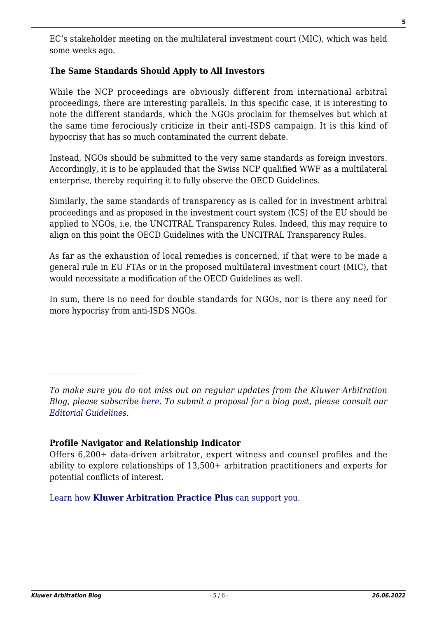EC's stakeholder meeting on the multilateral investment court (MIC), which was held some weeks ago.

# **The Same Standards Should Apply to All Investors**

While the NCP proceedings are obviously different from international arbitral proceedings, there are interesting parallels. In this specific case, it is interesting to note the different standards, which the NGOs proclaim for themselves but which at the same time ferociously criticize in their anti-ISDS campaign. It is this kind of hypocrisy that has so much contaminated the current debate.

Instead, NGOs should be submitted to the very same standards as foreign investors. Accordingly, it is to be applauded that the Swiss NCP qualified WWF as a multilateral enterprise, thereby requiring it to fully observe the OECD Guidelines.

Similarly, the same standards of transparency as is called for in investment arbitral proceedings and as proposed in the investment court system (ICS) of the EU should be applied to NGOs, i.e. the UNCITRAL Transparency Rules. Indeed, this may require to align on this point the OECD Guidelines with the UNCITRAL Transparency Rules.

As far as the exhaustion of local remedies is concerned, if that were to be made a general rule in EU FTAs or in the proposed multilateral investment court (MIC), that would necessitate a modification of the OECD Guidelines as well.

In sum, there is no need for double standards for NGOs, nor is there any need for more hypocrisy from anti-ISDS NGOs.

# **Profile Navigator and Relationship Indicator**

[Learn how](https://www.wolterskluwer.com/en/solutions/kluwerarbitration/practiceplus?utm_source=arbitrationblog&utm_medium=articleCTA&utm_campaign=article-banner) **[Kluwer Arbitration Practice Plus](https://www.wolterskluwer.com/en/solutions/kluwerarbitration/practiceplus?utm_source=arbitrationblog&utm_medium=articleCTA&utm_campaign=article-banner)** [can support you.](https://www.wolterskluwer.com/en/solutions/kluwerarbitration/practiceplus?utm_source=arbitrationblog&utm_medium=articleCTA&utm_campaign=article-banner)

*To make sure you do not miss out on regular updates from the Kluwer Arbitration Blog, please subscribe [here](http://arbitrationblog.kluwerarbitration.com/newsletter/). To submit a proposal for a blog post, please consult our [Editorial Guidelines.](http://arbitrationblog.kluwerarbitration.com/editorial-guidelines/)*

Offers 6,200+ data-driven arbitrator, expert witness and counsel profiles and the ability to explore relationships of 13,500+ arbitration practitioners and experts for potential conflicts of interest.